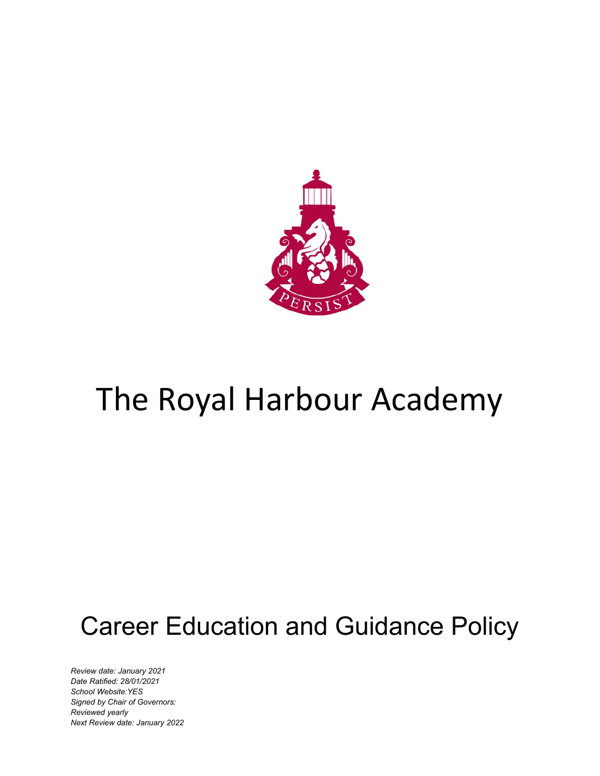

# The Royal Harbour Academy

# Career Education and Guidance Policy

*Review date: January 2021 Date Ratified: 28/01/2021 School Website:YES Signed by Chair of Governors: Reviewed yearly Next Review date: January 2022*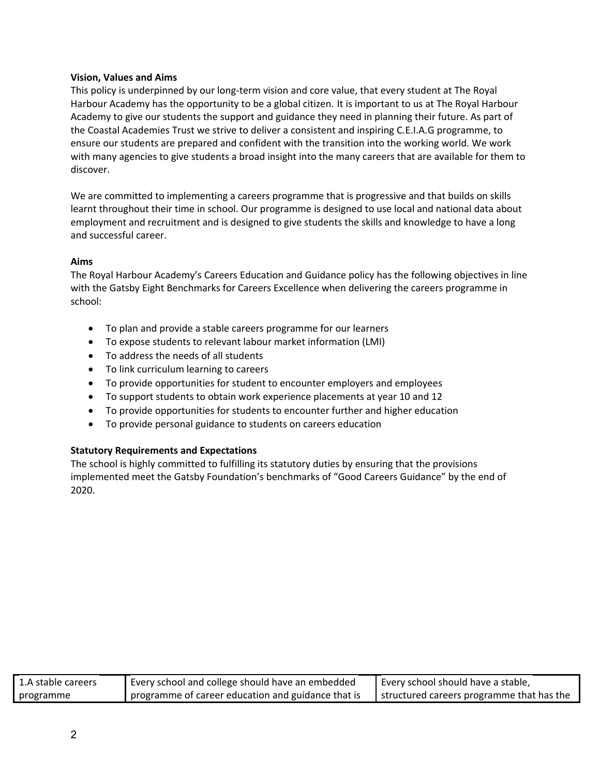#### **Vision, Values and Aims**

This policy is underpinned by our long-term vision and core value, that every student at The Royal Harbour Academy has the opportunity to be a global citizen. It is important to us at The Royal Harbour Academy to give our students the support and guidance they need in planning their future. As part of the Coastal Academies Trust we strive to deliver a consistent and inspiring C.E.I.A.G programme, to ensure our students are prepared and confident with the transition into the working world. We work with many agencies to give students a broad insight into the many careers that are available for them to discover.

We are committed to implementing a careers programme that is progressive and that builds on skills learnt throughout their time in school. Our programme is designed to use local and national data about employment and recruitment and is designed to give students the skills and knowledge to have a long and successful career.

### **Aims**

The Royal Harbour Academy's Careers Education and Guidance policy has the following objectives in line with the Gatsby Eight Benchmarks for Careers Excellence when delivering the careers programme in school:

- To plan and provide a stable careers programme for our learners
- To expose students to relevant labour market information (LMI)
- To address the needs of all students
- To link curriculum learning to careers
- To provide opportunities for student to encounter employers and employees
- To support students to obtain work experience placements at year 10 and 12
- To provide opportunities for students to encounter further and higher education
- To provide personal guidance to students on careers education

### **Statutory Requirements and Expectations**

The school is highly committed to fulfilling its statutory duties by ensuring that the provisions implemented meet the Gatsby Foundation's benchmarks of "Good Careers Guidance" by the end of 2020.

| 1.A stable careers | Every school and college should have an embedded   | Every school should have a stable,          |
|--------------------|----------------------------------------------------|---------------------------------------------|
| programme          | programme of career education and guidance that is | I structured careers programme that has the |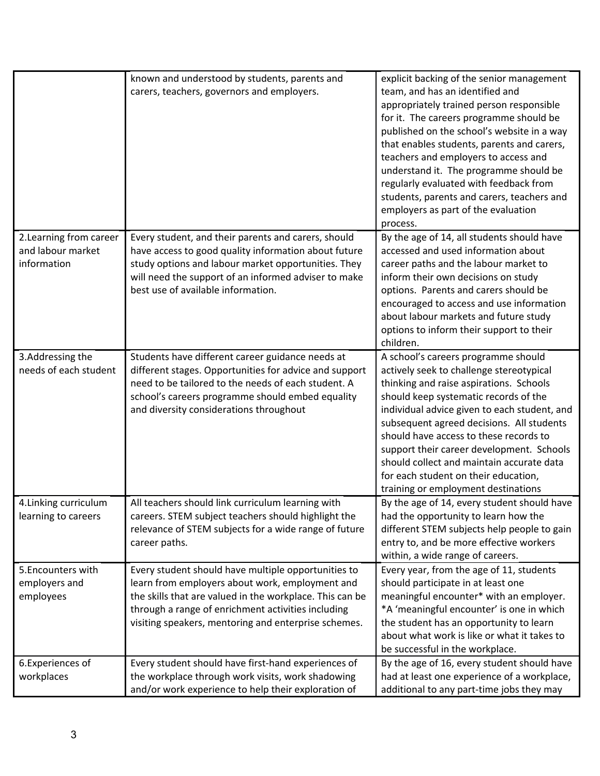|                                                             | known and understood by students, parents and<br>carers, teachers, governors and employers.                                                                                                                                                                                      | explicit backing of the senior management<br>team, and has an identified and<br>appropriately trained person responsible<br>for it. The careers programme should be<br>published on the school's website in a way<br>that enables students, parents and carers,<br>teachers and employers to access and<br>understand it. The programme should be<br>regularly evaluated with feedback from<br>students, parents and carers, teachers and<br>employers as part of the evaluation<br>process. |
|-------------------------------------------------------------|----------------------------------------------------------------------------------------------------------------------------------------------------------------------------------------------------------------------------------------------------------------------------------|----------------------------------------------------------------------------------------------------------------------------------------------------------------------------------------------------------------------------------------------------------------------------------------------------------------------------------------------------------------------------------------------------------------------------------------------------------------------------------------------|
| 2. Learning from career<br>and labour market<br>information | Every student, and their parents and carers, should<br>have access to good quality information about future<br>study options and labour market opportunities. They<br>will need the support of an informed adviser to make<br>best use of available information.                 | By the age of 14, all students should have<br>accessed and used information about<br>career paths and the labour market to<br>inform their own decisions on study<br>options. Parents and carers should be<br>encouraged to access and use information<br>about labour markets and future study<br>options to inform their support to their<br>children.                                                                                                                                     |
| 3.Addressing the<br>needs of each student                   | Students have different career guidance needs at<br>different stages. Opportunities for advice and support<br>need to be tailored to the needs of each student. A<br>school's careers programme should embed equality<br>and diversity considerations throughout                 | A school's careers programme should<br>actively seek to challenge stereotypical<br>thinking and raise aspirations. Schools<br>should keep systematic records of the<br>individual advice given to each student, and<br>subsequent agreed decisions. All students<br>should have access to these records to<br>support their career development. Schools<br>should collect and maintain accurate data<br>for each student on their education,<br>training or employment destinations          |
| 4. Linking curriculum<br>learning to careers                | All teachers should link curriculum learning with<br>careers. STEM subject teachers should highlight the<br>relevance of STEM subjects for a wide range of future<br>career paths.                                                                                               | By the age of 14, every student should have<br>had the opportunity to learn how the<br>different STEM subjects help people to gain<br>entry to, and be more effective workers<br>within, a wide range of careers.                                                                                                                                                                                                                                                                            |
| 5. Encounters with<br>employers and<br>employees            | Every student should have multiple opportunities to<br>learn from employers about work, employment and<br>the skills that are valued in the workplace. This can be<br>through a range of enrichment activities including<br>visiting speakers, mentoring and enterprise schemes. | Every year, from the age of 11, students<br>should participate in at least one<br>meaningful encounter* with an employer.<br>*A 'meaningful encounter' is one in which<br>the student has an opportunity to learn<br>about what work is like or what it takes to<br>be successful in the workplace.                                                                                                                                                                                          |
| 6. Experiences of<br>workplaces                             | Every student should have first-hand experiences of<br>the workplace through work visits, work shadowing<br>and/or work experience to help their exploration of                                                                                                                  | By the age of 16, every student should have<br>had at least one experience of a workplace,<br>additional to any part-time jobs they may                                                                                                                                                                                                                                                                                                                                                      |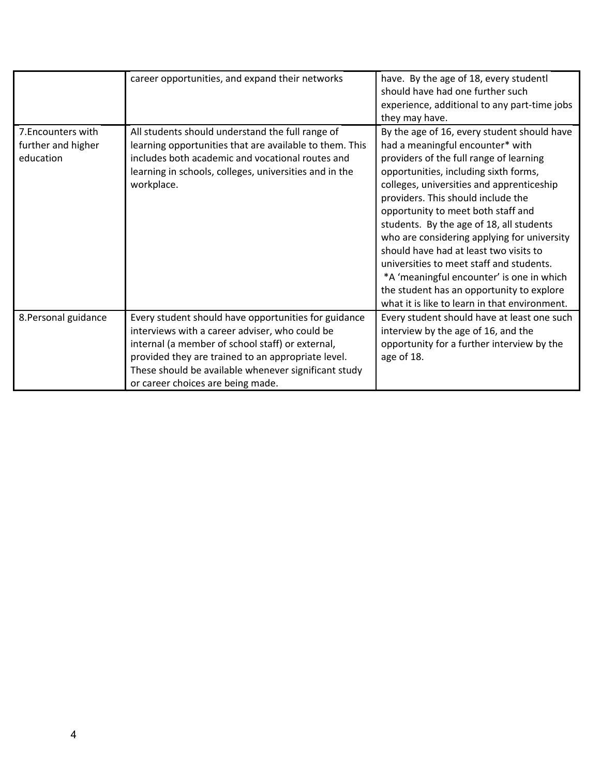|                                                       | career opportunities, and expand their networks                                                                                                                                                                                                                                                               | have. By the age of 18, every studentl<br>should have had one further such<br>experience, additional to any part-time jobs<br>they may have.                                                                                                                                                                                                                                                                                                                                                                                                                                                                             |
|-------------------------------------------------------|---------------------------------------------------------------------------------------------------------------------------------------------------------------------------------------------------------------------------------------------------------------------------------------------------------------|--------------------------------------------------------------------------------------------------------------------------------------------------------------------------------------------------------------------------------------------------------------------------------------------------------------------------------------------------------------------------------------------------------------------------------------------------------------------------------------------------------------------------------------------------------------------------------------------------------------------------|
| 7. Encounters with<br>further and higher<br>education | All students should understand the full range of<br>learning opportunities that are available to them. This<br>includes both academic and vocational routes and<br>learning in schools, colleges, universities and in the<br>workplace.                                                                       | By the age of 16, every student should have<br>had a meaningful encounter* with<br>providers of the full range of learning<br>opportunities, including sixth forms,<br>colleges, universities and apprenticeship<br>providers. This should include the<br>opportunity to meet both staff and<br>students. By the age of 18, all students<br>who are considering applying for university<br>should have had at least two visits to<br>universities to meet staff and students.<br>*A 'meaningful encounter' is one in which<br>the student has an opportunity to explore<br>what it is like to learn in that environment. |
| 8. Personal guidance                                  | Every student should have opportunities for guidance<br>interviews with a career adviser, who could be<br>internal (a member of school staff) or external,<br>provided they are trained to an appropriate level.<br>These should be available whenever significant study<br>or career choices are being made. | Every student should have at least one such<br>interview by the age of 16, and the<br>opportunity for a further interview by the<br>age of 18.                                                                                                                                                                                                                                                                                                                                                                                                                                                                           |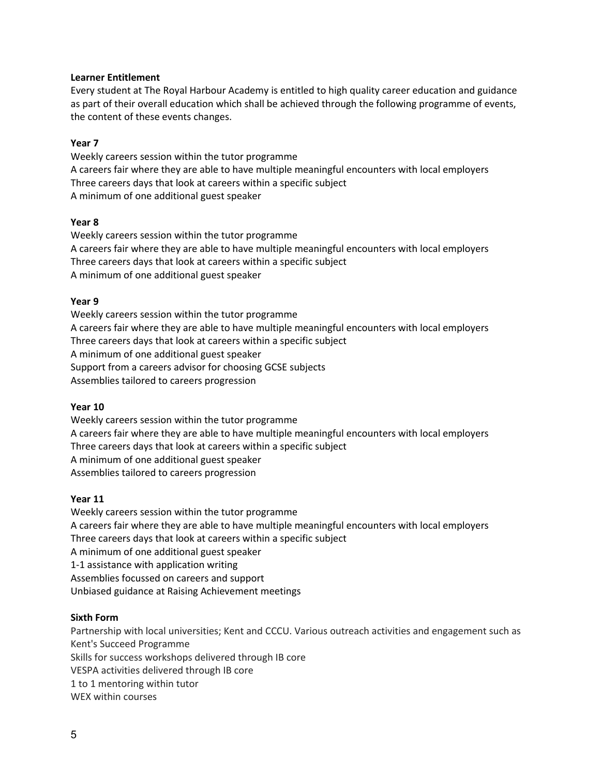### **Learner Entitlement**

Every student at The Royal Harbour Academy is entitled to high quality career education and guidance as part of their overall education which shall be achieved through the following programme of events, the content of these events changes.

# **Year 7**

Weekly careers session within the tutor programme A careers fair where they are able to have multiple meaningful encounters with local employers Three careers days that look at careers within a specific subject A minimum of one additional guest speaker

### **Year 8**

Weekly careers session within the tutor programme A careers fair where they are able to have multiple meaningful encounters with local employers Three careers days that look at careers within a specific subject A minimum of one additional guest speaker

# **Year 9**

Weekly careers session within the tutor programme A careers fair where they are able to have multiple meaningful encounters with local employers Three careers days that look at careers within a specific subject A minimum of one additional guest speaker Support from a careers advisor for choosing GCSE subjects Assemblies tailored to careers progression

### **Year 10**

Weekly careers session within the tutor programme A careers fair where they are able to have multiple meaningful encounters with local employers Three careers days that look at careers within a specific subject A minimum of one additional guest speaker Assemblies tailored to careers progression

### **Year 11**

Weekly careers session within the tutor programme A careers fair where they are able to have multiple meaningful encounters with local employers Three careers days that look at careers within a specific subject A minimum of one additional guest speaker 1-1 assistance with application writing Assemblies focussed on careers and support Unbiased guidance at Raising Achievement meetings

### **Sixth Form**

Partnership with local universities; Kent and CCCU. Various outreach activities and engagement such as Kent's Succeed Programme Skills for success workshops delivered through IB core VESPA activities delivered through IB core 1 to 1 mentoring within tutor WEX within courses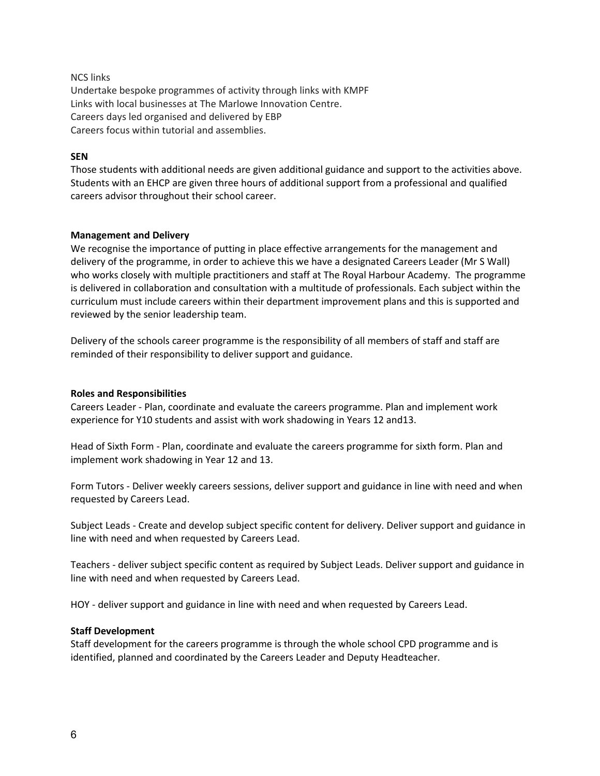NCS links Undertake bespoke programmes of activity through links with KMPF Links with local businesses at The Marlowe Innovation Centre. Careers days led organised and delivered by EBP Careers focus within tutorial and assemblies.

#### **SEN**

Those students with additional needs are given additional guidance and support to the activities above. Students with an EHCP are given three hours of additional support from a professional and qualified careers advisor throughout their school career.

#### **Management and Delivery**

We recognise the importance of putting in place effective arrangements for the management and delivery of the programme, in order to achieve this we have a designated Careers Leader (Mr S Wall) who works closely with multiple practitioners and staff at The Royal Harbour Academy. The programme is delivered in collaboration and consultation with a multitude of professionals. Each subject within the curriculum must include careers within their department improvement plans and this is supported and reviewed by the senior leadership team.

Delivery of the schools career programme is the responsibility of all members of staff and staff are reminded of their responsibility to deliver support and guidance.

#### **Roles and Responsibilities**

Careers Leader - Plan, coordinate and evaluate the careers programme. Plan and implement work experience for Y10 students and assist with work shadowing in Years 12 and13.

Head of Sixth Form - Plan, coordinate and evaluate the careers programme for sixth form. Plan and implement work shadowing in Year 12 and 13.

Form Tutors - Deliver weekly careers sessions, deliver support and guidance in line with need and when requested by Careers Lead.

Subject Leads - Create and develop subject specific content for delivery. Deliver support and guidance in line with need and when requested by Careers Lead.

Teachers - deliver subject specific content as required by Subject Leads. Deliver support and guidance in line with need and when requested by Careers Lead.

HOY - deliver support and guidance in line with need and when requested by Careers Lead.

#### **Staff Development**

Staff development for the careers programme is through the whole school CPD programme and is identified, planned and coordinated by the Careers Leader and Deputy Headteacher.